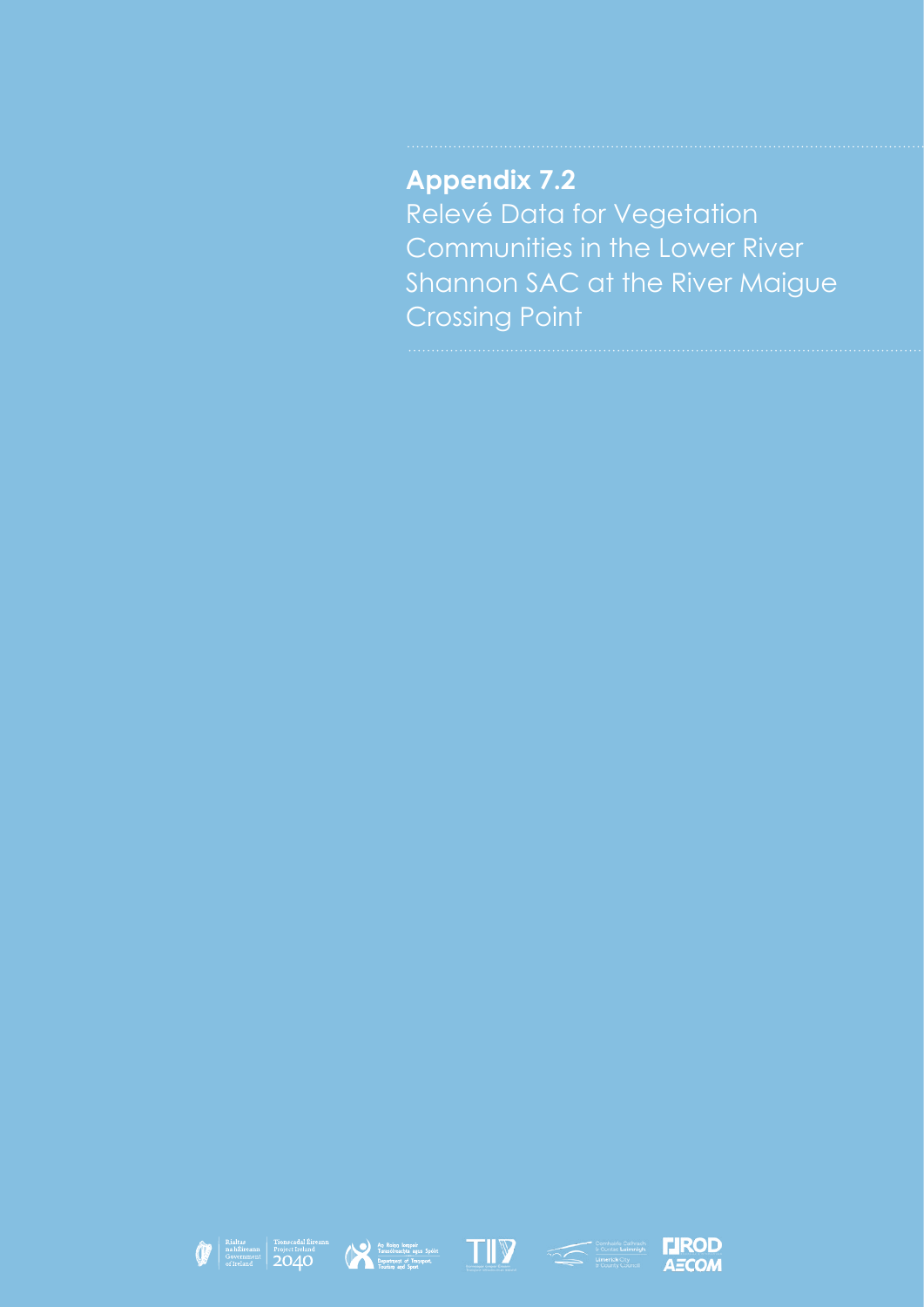**Appendix 7.2** Relevé Data for Vegetation Communities in the Lower River Shannon SAC at the River Maigue Crossing Point









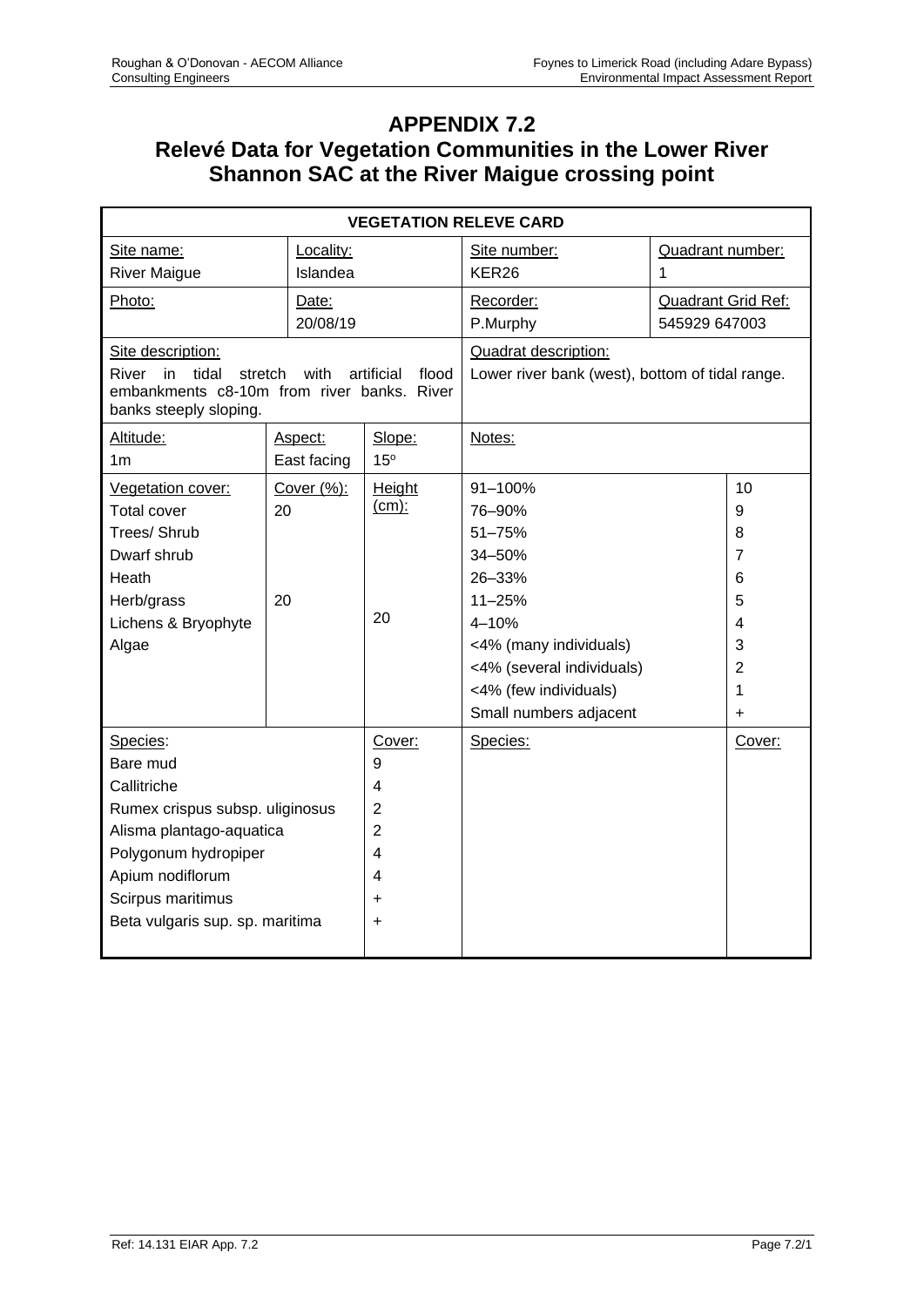## **APPENDIX 7.2 Relevé Data for Vegetation Communities in the Lower River Shannon SAC at the River Maigue crossing point**

| <b>VEGETATION RELEVE CARD</b>                                                                           |                |                     |                                                 |                           |                |  |  |  |  |
|---------------------------------------------------------------------------------------------------------|----------------|---------------------|-------------------------------------------------|---------------------------|----------------|--|--|--|--|
| Site name:<br>Locality:                                                                                 |                |                     | Site number:                                    | Quadrant number:          |                |  |  |  |  |
| <b>River Maigue</b>                                                                                     | Islandea       |                     | KER <sub>26</sub>                               | 1                         |                |  |  |  |  |
| Photo:                                                                                                  | Date:          |                     | Recorder:                                       | <b>Quadrant Grid Ref:</b> |                |  |  |  |  |
|                                                                                                         | 20/08/19       |                     | P.Murphy                                        | 545929 647003             |                |  |  |  |  |
| Site description:                                                                                       |                |                     | Quadrat description:                            |                           |                |  |  |  |  |
| River<br>in<br>tidal<br>stretch<br>embankments c8-10m from river banks. River<br>banks steeply sloping. | with           | artificial<br>flood | Lower river bank (west), bottom of tidal range. |                           |                |  |  |  |  |
| Altitude:                                                                                               | Aspect:        | Slope:              | Notes:                                          |                           |                |  |  |  |  |
| 1 <sub>m</sub>                                                                                          | East facing    | 15°                 |                                                 |                           |                |  |  |  |  |
| Vegetation cover:                                                                                       | Cover $(\%)$ : | Height              | 91-100%                                         |                           | 10             |  |  |  |  |
| <b>Total cover</b>                                                                                      | 20             | $(cm)$ :            | 76-90%                                          |                           | 9              |  |  |  |  |
| Trees/ Shrub                                                                                            |                |                     | 51-75%                                          |                           | 8              |  |  |  |  |
| Dwarf shrub                                                                                             |                |                     | 34-50%                                          |                           | $\overline{7}$ |  |  |  |  |
| Heath                                                                                                   |                |                     | 26-33%                                          |                           | 6              |  |  |  |  |
| Herb/grass                                                                                              | 20             |                     | 11-25%                                          |                           | 5              |  |  |  |  |
| Lichens & Bryophyte                                                                                     |                | 20                  | 4-10%                                           |                           | 4              |  |  |  |  |
| Algae                                                                                                   |                |                     | <4% (many individuals)                          |                           | 3              |  |  |  |  |
|                                                                                                         |                |                     | <4% (several individuals)                       |                           | $\overline{2}$ |  |  |  |  |
|                                                                                                         |                |                     | <4% (few individuals)                           |                           |                |  |  |  |  |
|                                                                                                         |                |                     | Small numbers adjacent                          |                           | $\ddot{}$      |  |  |  |  |
| Species:                                                                                                |                | Cover:              | Species:                                        |                           | Cover:         |  |  |  |  |
| Bare mud                                                                                                |                | 9                   |                                                 |                           |                |  |  |  |  |
| Callitriche                                                                                             |                | 4                   |                                                 |                           |                |  |  |  |  |
| Rumex crispus subsp. uliginosus                                                                         |                | $\overline{2}$      |                                                 |                           |                |  |  |  |  |
| Alisma plantago-aquatica                                                                                |                | $\overline{2}$      |                                                 |                           |                |  |  |  |  |
| Polygonum hydropiper                                                                                    |                | 4                   |                                                 |                           |                |  |  |  |  |
| Apium nodiflorum                                                                                        |                | 4                   |                                                 |                           |                |  |  |  |  |
| Scirpus maritimus                                                                                       |                | $\ddot{}$           |                                                 |                           |                |  |  |  |  |
| Beta vulgaris sup. sp. maritima                                                                         |                | $\ddot{}$           |                                                 |                           |                |  |  |  |  |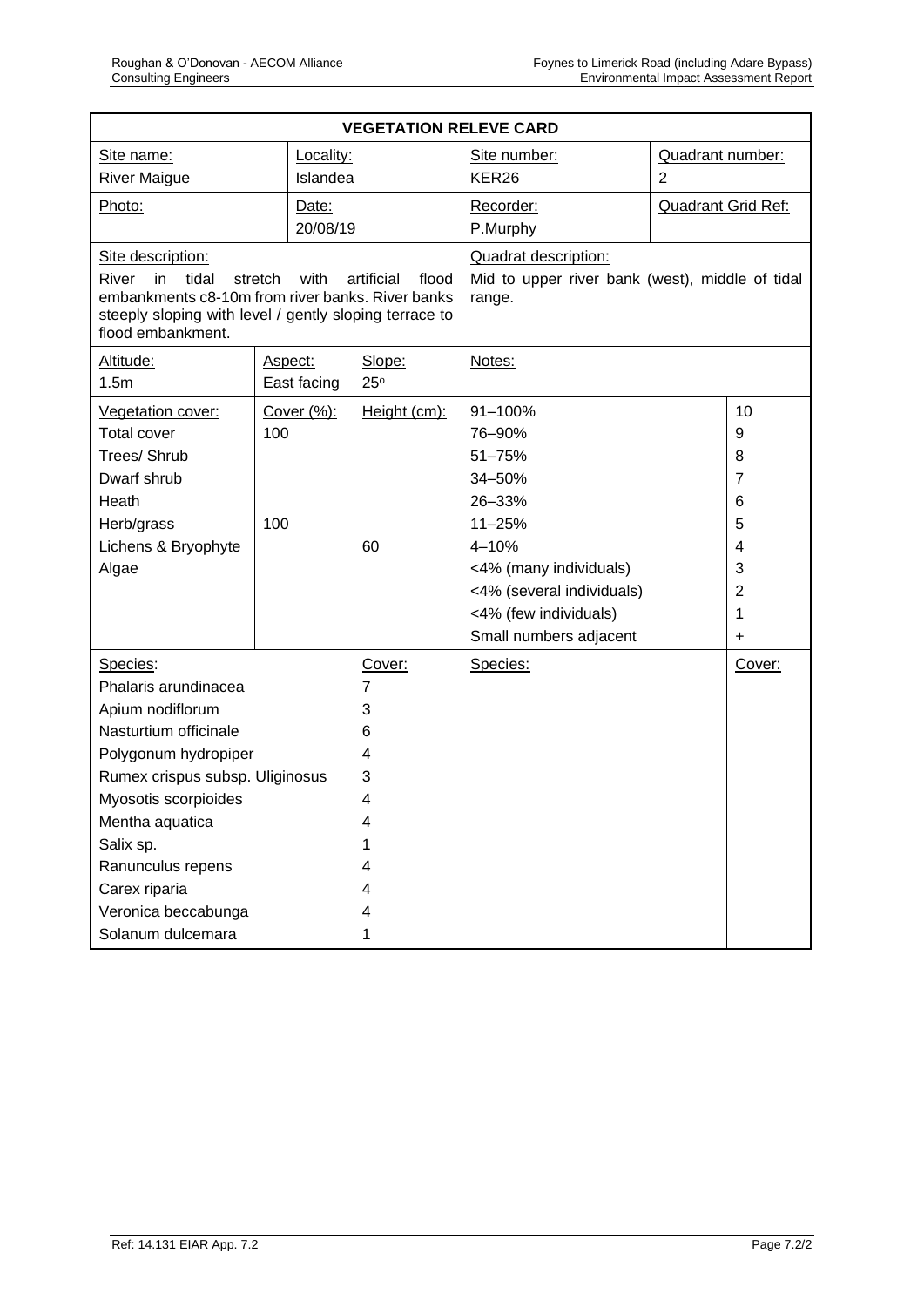| <b>VEGETATION RELEVE CARD</b>                                                                                    |           |                |                     |                                                                                          |                           |                |  |  |
|------------------------------------------------------------------------------------------------------------------|-----------|----------------|---------------------|------------------------------------------------------------------------------------------|---------------------------|----------------|--|--|
| Site name:                                                                                                       | Locality: |                |                     | Site number:                                                                             | Quadrant number:          |                |  |  |
| <b>River Maigue</b>                                                                                              | Islandea  |                |                     | KER <sub>26</sub>                                                                        | $\overline{2}$            |                |  |  |
| Photo:                                                                                                           |           | Date:          |                     | Recorder:                                                                                | <b>Quadrant Grid Ref:</b> |                |  |  |
|                                                                                                                  |           | 20/08/19       |                     | P.Murphy                                                                                 |                           |                |  |  |
| Site description:<br>tidal<br>River<br>in<br>with<br>stretch<br>embankments c8-10m from river banks. River banks |           |                | artificial<br>flood | <b>Quadrat description:</b><br>Mid to upper river bank (west), middle of tidal<br>range. |                           |                |  |  |
| steeply sloping with level / gently sloping terrace to<br>flood embankment.                                      |           |                |                     |                                                                                          |                           |                |  |  |
| Altitude:                                                                                                        |           | Aspect:        | Slope:              | Notes:                                                                                   |                           |                |  |  |
| 1.5m                                                                                                             |           | East facing    | 25°                 |                                                                                          |                           |                |  |  |
| Vegetation cover:                                                                                                |           | Cover (%):     | Height (cm):        | 91-100%                                                                                  |                           | 10             |  |  |
| <b>Total cover</b>                                                                                               | 100       |                |                     | 76-90%                                                                                   |                           | 9              |  |  |
| Trees/ Shrub                                                                                                     |           |                |                     | 51-75%                                                                                   |                           | 8              |  |  |
| Dwarf shrub                                                                                                      |           |                |                     | 34-50%                                                                                   |                           | 7              |  |  |
| Heath                                                                                                            |           |                |                     | 26-33%                                                                                   |                           | 6              |  |  |
| Herb/grass                                                                                                       | 100       |                |                     | $11 - 25%$                                                                               |                           | 5              |  |  |
| Lichens & Bryophyte                                                                                              |           |                | 60                  | 4-10%                                                                                    |                           | 4              |  |  |
| Algae                                                                                                            |           |                |                     | <4% (many individuals)                                                                   |                           | 3              |  |  |
|                                                                                                                  |           |                |                     | <4% (several individuals)                                                                |                           | $\overline{2}$ |  |  |
|                                                                                                                  |           |                |                     | <4% (few individuals)                                                                    |                           | 1              |  |  |
|                                                                                                                  |           |                |                     | Small numbers adjacent                                                                   |                           | $\ddot{}$      |  |  |
| Species:                                                                                                         |           | Cover:         | Species:            |                                                                                          | Cover:                    |                |  |  |
| Phalaris arundinacea                                                                                             |           | $\overline{7}$ |                     |                                                                                          |                           |                |  |  |
| Apium nodiflorum                                                                                                 |           |                | 3                   |                                                                                          |                           |                |  |  |
| Nasturtium officinale                                                                                            |           |                | 6                   |                                                                                          |                           |                |  |  |
| Polygonum hydropiper                                                                                             |           |                | 4                   |                                                                                          |                           |                |  |  |
| Rumex crispus subsp. Uliginosus                                                                                  |           | 3              |                     |                                                                                          |                           |                |  |  |
| Myosotis scorpioides                                                                                             |           | 4              |                     |                                                                                          |                           |                |  |  |
| Mentha aquatica                                                                                                  |           | $\overline{4}$ |                     |                                                                                          |                           |                |  |  |
| Salix sp.                                                                                                        |           | 1              |                     |                                                                                          |                           |                |  |  |
| Ranunculus repens                                                                                                |           | 4              |                     |                                                                                          |                           |                |  |  |
| Carex riparia                                                                                                    |           | 4              |                     |                                                                                          |                           |                |  |  |
| Veronica beccabunga                                                                                              |           | 4              |                     |                                                                                          |                           |                |  |  |
| Solanum dulcemara                                                                                                |           | 1              |                     |                                                                                          |                           |                |  |  |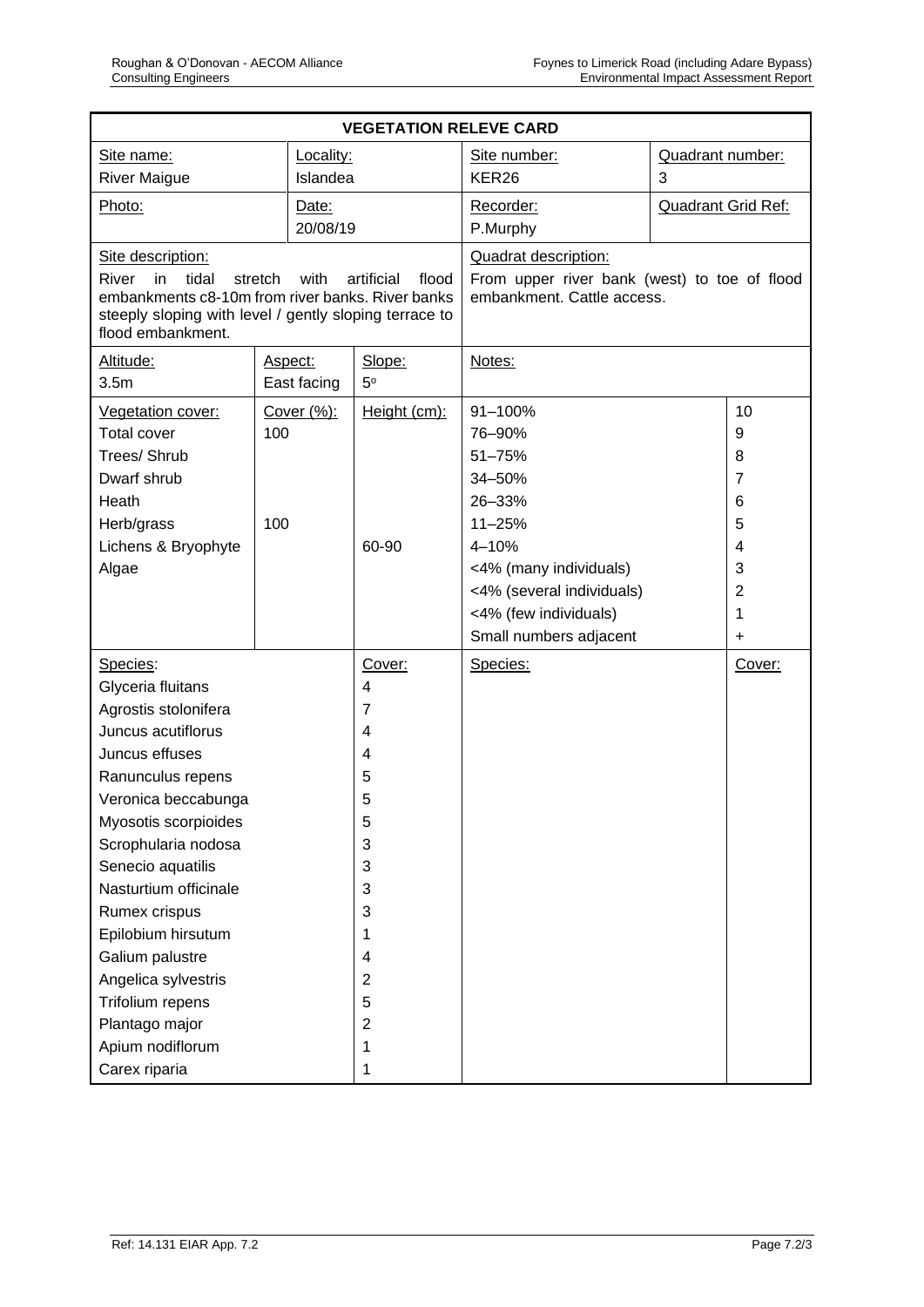| <b>VEGETATION RELEVE CARD</b>                                                                                                                                              |           |             |                     |                                                                            |                           |                |  |
|----------------------------------------------------------------------------------------------------------------------------------------------------------------------------|-----------|-------------|---------------------|----------------------------------------------------------------------------|---------------------------|----------------|--|
| Site name:                                                                                                                                                                 | Locality: |             |                     | Site number:                                                               | Quadrant number:          |                |  |
| <b>River Maigue</b>                                                                                                                                                        | Islandea  |             |                     | KER <sub>26</sub>                                                          | 3                         |                |  |
| Photo:                                                                                                                                                                     |           | Date:       |                     | Recorder:                                                                  | <b>Quadrant Grid Ref:</b> |                |  |
|                                                                                                                                                                            |           | 20/08/19    |                     | P.Murphy                                                                   |                           |                |  |
| Site description:                                                                                                                                                          |           |             |                     | <b>Quadrat description:</b>                                                |                           |                |  |
| tidal<br>River<br>in<br>stretch<br>with<br>embankments c8-10m from river banks. River banks<br>steeply sloping with level / gently sloping terrace to<br>flood embankment. |           |             | artificial<br>flood | From upper river bank (west) to toe of flood<br>embankment. Cattle access. |                           |                |  |
| Altitude:                                                                                                                                                                  |           | Aspect:     | Slope:              | Notes:                                                                     |                           |                |  |
| 3.5 <sub>m</sub>                                                                                                                                                           |           | East facing | $5^{\circ}$         |                                                                            |                           |                |  |
| Vegetation cover:                                                                                                                                                          |           | Cover (%):  | Height (cm):        | 91-100%                                                                    |                           | 10             |  |
| <b>Total cover</b>                                                                                                                                                         | 100       |             |                     | 76-90%                                                                     |                           | 9              |  |
| Trees/ Shrub                                                                                                                                                               |           |             |                     | 51-75%                                                                     |                           | 8              |  |
| Dwarf shrub                                                                                                                                                                |           |             |                     | 34-50%                                                                     |                           | 7              |  |
| Heath                                                                                                                                                                      |           |             |                     | 26-33%                                                                     |                           | 6              |  |
| Herb/grass                                                                                                                                                                 | 100       |             |                     | $11 - 25%$                                                                 |                           | 5              |  |
| Lichens & Bryophyte                                                                                                                                                        |           |             | 60-90               | 4-10%                                                                      |                           |                |  |
| Algae                                                                                                                                                                      |           |             |                     | <4% (many individuals)                                                     |                           | 3              |  |
|                                                                                                                                                                            |           |             |                     | <4% (several individuals)                                                  |                           | $\overline{2}$ |  |
|                                                                                                                                                                            |           |             |                     | <4% (few individuals)                                                      |                           | 1              |  |
|                                                                                                                                                                            |           |             |                     | Small numbers adjacent                                                     |                           | $\ddot{}$      |  |
| Species:                                                                                                                                                                   |           |             | Cover:              | Species:                                                                   |                           | Cover:         |  |
| Glyceria fluitans                                                                                                                                                          |           |             | $\overline{4}$      |                                                                            |                           |                |  |
| Agrostis stolonifera                                                                                                                                                       |           |             | 7                   |                                                                            |                           |                |  |
| Juncus acutiflorus                                                                                                                                                         |           | 4           |                     |                                                                            |                           |                |  |
| Juncus effuses                                                                                                                                                             |           |             | 4                   |                                                                            |                           |                |  |
| Ranunculus repens                                                                                                                                                          |           |             | 5                   |                                                                            |                           |                |  |
| Veronica beccabunga                                                                                                                                                        |           |             | 5                   |                                                                            |                           |                |  |
| Myosotis scorpioides                                                                                                                                                       |           |             | 5                   |                                                                            |                           |                |  |
| Scrophularia nodosa                                                                                                                                                        |           |             | 3                   |                                                                            |                           |                |  |
| Senecio aquatilis                                                                                                                                                          |           | 3           |                     |                                                                            |                           |                |  |
| Nasturtium officinale                                                                                                                                                      |           | 3           |                     |                                                                            |                           |                |  |
| Rumex crispus                                                                                                                                                              |           |             | 3                   |                                                                            |                           |                |  |
| Epilobium hirsutum                                                                                                                                                         |           | 1           |                     |                                                                            |                           |                |  |
| Galium palustre                                                                                                                                                            |           |             | 4                   |                                                                            |                           |                |  |
| Angelica sylvestris                                                                                                                                                        |           |             | $\overline{2}$      |                                                                            |                           |                |  |
| Trifolium repens                                                                                                                                                           |           | 5           |                     |                                                                            |                           |                |  |
| Plantago major                                                                                                                                                             |           | 2           |                     |                                                                            |                           |                |  |
| Apium nodiflorum                                                                                                                                                           |           | 1           |                     |                                                                            |                           |                |  |
| Carex riparia                                                                                                                                                              |           |             | 1                   |                                                                            |                           |                |  |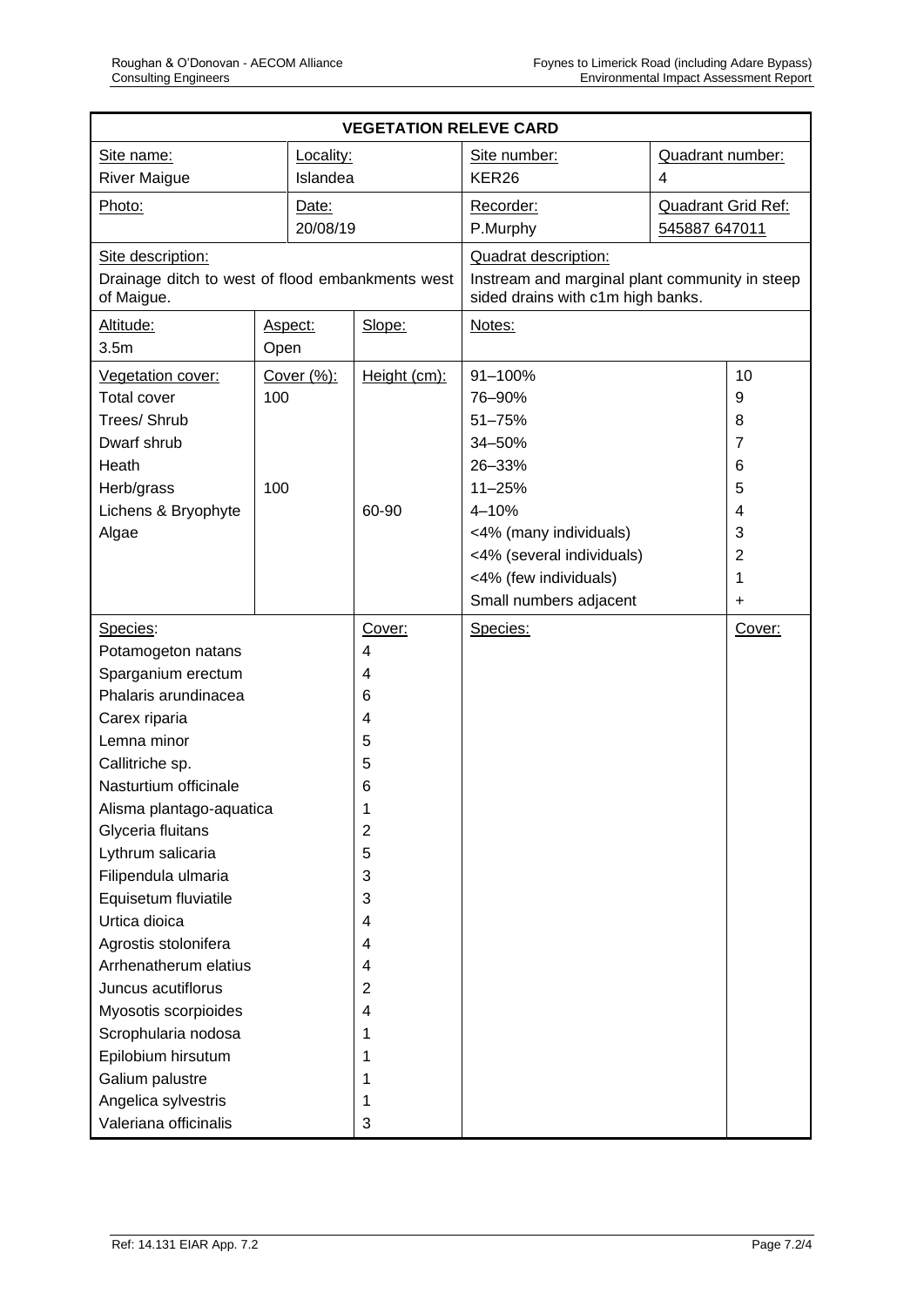| <b>VEGETATION RELEVE CARD</b>                                  |      |            |                |                                                                                     |                           |                |  |
|----------------------------------------------------------------|------|------------|----------------|-------------------------------------------------------------------------------------|---------------------------|----------------|--|
| Locality:<br>Site name:                                        |      |            | Site number:   | Quadrant number:                                                                    |                           |                |  |
| <b>River Maigue</b><br>Islandea                                |      |            | KER26          | 4                                                                                   |                           |                |  |
| Photo:                                                         |      | Date:      |                | Recorder:                                                                           | <b>Quadrant Grid Ref:</b> |                |  |
|                                                                |      | 20/08/19   |                | P.Murphy                                                                            |                           | 545887 647011  |  |
| Site description:                                              |      |            |                | <b>Quadrat description:</b>                                                         |                           |                |  |
| Drainage ditch to west of flood embankments west<br>of Maigue. |      |            |                | Instream and marginal plant community in steep<br>sided drains with c1m high banks. |                           |                |  |
| Altitude:                                                      |      | Aspect:    | Slope:         | Notes:                                                                              |                           |                |  |
| 3.5 <sub>m</sub>                                               | Open |            |                |                                                                                     |                           |                |  |
| Vegetation cover:                                              |      | Cover (%): | Height (cm):   | 91-100%                                                                             |                           | 10             |  |
| <b>Total cover</b>                                             | 100  |            |                | 76-90%                                                                              |                           | 9              |  |
| Trees/ Shrub                                                   |      |            |                | 51-75%                                                                              |                           | 8              |  |
| Dwarf shrub                                                    |      |            |                | 34-50%                                                                              |                           | $\overline{7}$ |  |
| Heath                                                          |      |            |                | 26-33%                                                                              |                           | 6              |  |
| Herb/grass                                                     | 100  |            |                | $11 - 25%$                                                                          |                           | 5              |  |
| Lichens & Bryophyte                                            |      |            | 60-90          | 4-10%                                                                               |                           | 4              |  |
| Algae                                                          |      |            |                | <4% (many individuals)                                                              |                           | 3              |  |
|                                                                |      |            |                | <4% (several individuals)                                                           |                           | $\overline{2}$ |  |
|                                                                |      |            |                | <4% (few individuals)                                                               |                           | 1              |  |
|                                                                |      |            |                | Small numbers adjacent                                                              |                           | $\ddot{}$      |  |
| Species:                                                       |      | Cover:     | Species:       |                                                                                     | Cover:                    |                |  |
| Potamogeton natans                                             |      | 4          |                |                                                                                     |                           |                |  |
| Sparganium erectum                                             |      |            | 4              |                                                                                     |                           |                |  |
| Phalaris arundinacea                                           |      |            | 6              |                                                                                     |                           |                |  |
| Carex riparia                                                  |      |            | 4              |                                                                                     |                           |                |  |
| Lemna minor                                                    |      |            | 5              |                                                                                     |                           |                |  |
| Callitriche sp.                                                |      | 5          |                |                                                                                     |                           |                |  |
| Nasturtium officinale                                          |      | 6          |                |                                                                                     |                           |                |  |
| Alisma plantago-aquatica                                       |      |            |                |                                                                                     |                           |                |  |
| Glyceria fluitans                                              |      |            | $\overline{2}$ |                                                                                     |                           |                |  |
| Lythrum salicaria                                              |      |            | 5              |                                                                                     |                           |                |  |
| Filipendula ulmaria                                            |      |            | 3              |                                                                                     |                           |                |  |
| Equisetum fluviatile                                           |      |            | 3              |                                                                                     |                           |                |  |
| Urtica dioica                                                  |      |            | 4              |                                                                                     |                           |                |  |
| Agrostis stolonifera                                           |      | 4          |                |                                                                                     |                           |                |  |
| Arrhenatherum elatius                                          |      | 4          |                |                                                                                     |                           |                |  |
| Juncus acutiflorus                                             |      |            | 2              |                                                                                     |                           |                |  |
| Myosotis scorpioides                                           |      |            | 4              |                                                                                     |                           |                |  |
| Scrophularia nodosa                                            |      |            | 1              |                                                                                     |                           |                |  |
| Epilobium hirsutum                                             |      | 1          |                |                                                                                     |                           |                |  |
| Galium palustre                                                |      | 1          |                |                                                                                     |                           |                |  |
| Angelica sylvestris                                            |      | 1          |                |                                                                                     |                           |                |  |
| Valeriana officinalis                                          |      | 3          |                |                                                                                     |                           |                |  |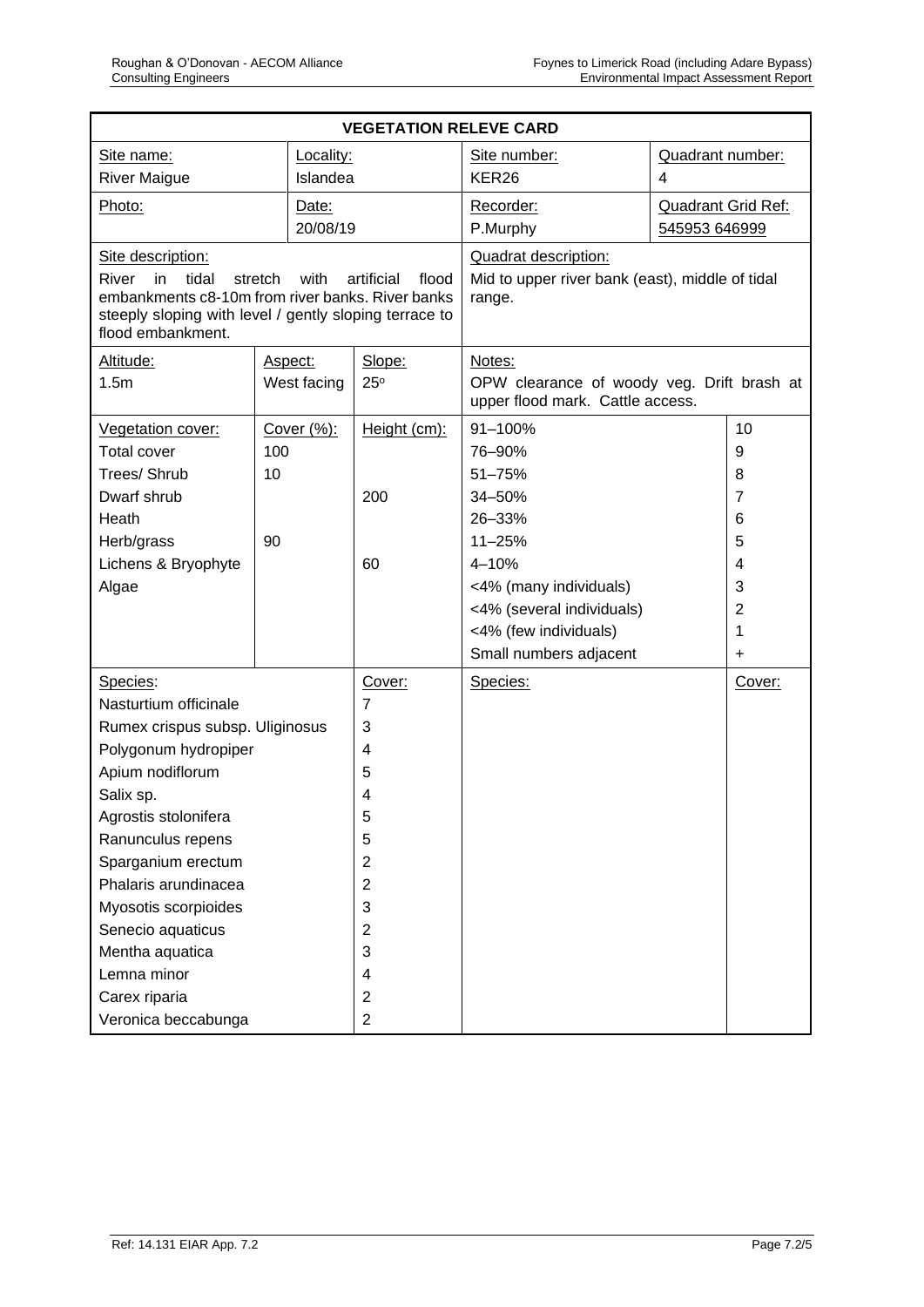| <b>VEGETATION RELEVE CARD</b>                                                                                                                           |                 |                     |                                                                                |                           |                |  |  |  |
|---------------------------------------------------------------------------------------------------------------------------------------------------------|-----------------|---------------------|--------------------------------------------------------------------------------|---------------------------|----------------|--|--|--|
| Site name:                                                                                                                                              | Locality:       |                     | Site number:<br>Quadrant number:                                               |                           |                |  |  |  |
| <b>River Maigue</b>                                                                                                                                     | Islandea        |                     | KER26                                                                          | 4                         |                |  |  |  |
| Photo:                                                                                                                                                  | Date:           |                     | Recorder:                                                                      | <b>Quadrant Grid Ref:</b> |                |  |  |  |
|                                                                                                                                                         | 20/08/19        |                     | P.Murphy                                                                       | 545953 646999             |                |  |  |  |
| Site description:                                                                                                                                       |                 |                     | <b>Quadrat description:</b>                                                    |                           |                |  |  |  |
| tidal<br>River<br>in<br>embankments c8-10m from river banks. River banks<br>steeply sloping with level / gently sloping terrace to<br>flood embankment. | stretch<br>with | artificial<br>flood | Mid to upper river bank (east), middle of tidal<br>range.                      |                           |                |  |  |  |
| Altitude:                                                                                                                                               | Aspect:         | Slope:              | Notes:                                                                         |                           |                |  |  |  |
| 1.5m                                                                                                                                                    | West facing     | $25^{\circ}$        | OPW clearance of woody veg. Drift brash at<br>upper flood mark. Cattle access. |                           |                |  |  |  |
| Vegetation cover:                                                                                                                                       | Cover (%):      | Height (cm):        | 91-100%                                                                        |                           | 10             |  |  |  |
| <b>Total cover</b>                                                                                                                                      | 100             |                     | 76-90%                                                                         |                           | 9              |  |  |  |
| Trees/ Shrub                                                                                                                                            | 10              |                     | 51-75%                                                                         |                           | 8              |  |  |  |
| Dwarf shrub                                                                                                                                             |                 | 200                 | 34-50%                                                                         |                           | $\overline{7}$ |  |  |  |
| Heath                                                                                                                                                   |                 |                     | 26-33%                                                                         |                           | 6              |  |  |  |
| Herb/grass                                                                                                                                              | 90              |                     | $11 - 25%$                                                                     |                           | 5              |  |  |  |
| Lichens & Bryophyte                                                                                                                                     |                 | 60                  | 4-10%                                                                          |                           | 4              |  |  |  |
| Algae                                                                                                                                                   |                 |                     | <4% (many individuals)                                                         |                           | 3              |  |  |  |
|                                                                                                                                                         |                 |                     | <4% (several individuals)                                                      |                           | $\overline{2}$ |  |  |  |
|                                                                                                                                                         |                 |                     | <4% (few individuals)                                                          |                           | 1              |  |  |  |
|                                                                                                                                                         |                 |                     | Small numbers adjacent                                                         |                           | +              |  |  |  |
| Species:                                                                                                                                                |                 | Cover:              | Species:                                                                       |                           | Cover:         |  |  |  |
| Nasturtium officinale                                                                                                                                   |                 | $\overline{7}$      |                                                                                |                           |                |  |  |  |
| Rumex crispus subsp. Uliginosus                                                                                                                         |                 | 3                   |                                                                                |                           |                |  |  |  |
| Polygonum hydropiper                                                                                                                                    |                 | 4                   |                                                                                |                           |                |  |  |  |
| Apium nodiflorum                                                                                                                                        |                 | 5                   |                                                                                |                           |                |  |  |  |
| Salix sp.                                                                                                                                               |                 | 4                   |                                                                                |                           |                |  |  |  |
| Agrostis stolonifera                                                                                                                                    |                 | 5                   |                                                                                |                           |                |  |  |  |
| Ranunculus repens                                                                                                                                       |                 | 5                   |                                                                                |                           |                |  |  |  |
| Sparganium erectum                                                                                                                                      |                 | 2                   |                                                                                |                           |                |  |  |  |
| Phalaris arundinacea                                                                                                                                    |                 | $\overline{2}$      |                                                                                |                           |                |  |  |  |
| Myosotis scorpioides                                                                                                                                    |                 | 3                   |                                                                                |                           |                |  |  |  |
| Senecio aquaticus                                                                                                                                       |                 | $\overline{2}$      |                                                                                |                           |                |  |  |  |
| Mentha aquatica                                                                                                                                         |                 | 3                   |                                                                                |                           |                |  |  |  |
| Lemna minor                                                                                                                                             |                 | 4                   |                                                                                |                           |                |  |  |  |
| Carex riparia                                                                                                                                           |                 | $\overline{2}$      |                                                                                |                           |                |  |  |  |
| Veronica beccabunga                                                                                                                                     |                 | $\overline{2}$      |                                                                                |                           |                |  |  |  |